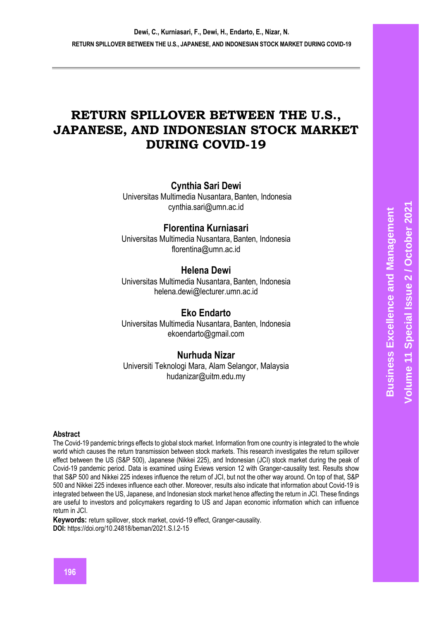# **RETURN SPILLOVER BETWEEN THE U.S., JAPANESE, AND INDONESIAN STOCK MARKET DURING COVID-19**

# **Cynthia Sari Dewi**

Universitas Multimedia Nusantara, Banten, Indonesia [cynthia.sari@umn.ac.id](mailto:cynthia.sari@umn.ac.id) 

# **Florentina Kurniasari**

Universitas Multimedia Nusantara, Banten, Indonesia [florentina@umn.ac.id](mailto:florentina@umn.ac.id)

# **Helena Dewi**

Universitas Multimedia Nusantara, Banten, Indonesia [helena.dewi@lecturer.umn.ac.id](mailto:helena.dewi@lecturer.umn.ac.id)

## **Eko Endarto**

Universitas Multimedia Nusantara, Banten, Indonesia [ekoendarto@gmail.com](mailto:ekoendarto@gmail.com)

# **Nurhuda Nizar**

Universiti Teknologi Mara, Alam Selangor, Malaysia hudanizar@uitm.edu.my

#### **Abstract**

The Covid-19 pandemic brings effects to global stock market. Information from one country is integrated to the whole world which causes the return transmission between stock markets. This research investigates the return spillover effect between the US (S&P 500), Japanese (Nikkei 225), and Indonesian (JCI) stock market during the peak of Covid-19 pandemic period. Data is examined using Eviews version 12 with Granger-causality test. Results show that S&P 500 and Nikkei 225 indexes influence the return of JCI, but not the other way around. On top of that, S&P 500 and Nikkei 225 indexes influence each other. Moreover, results also indicate that information about Covid-19 is integrated between the US, Japanese, and Indonesian stock market hence affecting the return in JCI. These findings are useful to investors and policymakers regarding to US and Japan economic information which can influence return in JCI.

**Keywords:** return spillover, stock market, covid-19 effect, Granger-causality. **DOI:** https://doi.org/10.24818/beman/2021.S.I.2-15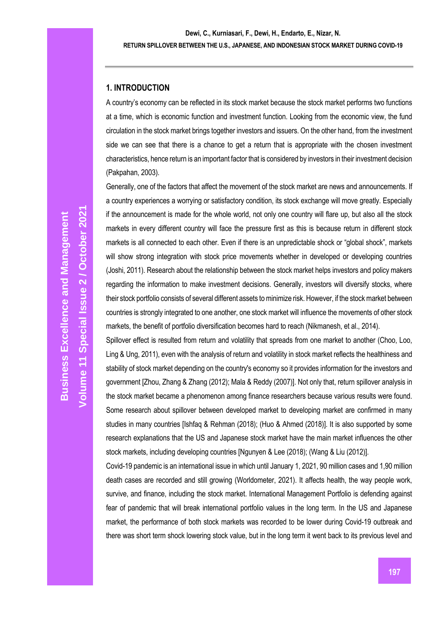### **1. INTRODUCTION**

A country's economy can be reflected in its stock market because the stock market performs two functions at a time, which is economic function and investment function. Looking from the economic view, the fund circulation in the stock market brings together investors and issuers. On the other hand, from the investment side we can see that there is a chance to get a return that is appropriate with the chosen investment characteristics, hence return is an important factor that is considered by investors in their investment decision (Pakpahan, 2003).

Generally, one of the factors that affect the movement of the stock market are news and announcements. If a country experiences a worrying or satisfactory condition, its stock exchange will move greatly. Especially if the announcement is made for the whole world, not only one country will flare up, but also all the stock markets in every different country will face the pressure first as this is because return in different stock markets is all connected to each other. Even if there is an unpredictable shock or "global shock", markets will show strong integration with stock price movements whether in developed or developing countries (Joshi, 2011). Research about the relationship between the stock market helps investors and policy makers regarding the information to make investment decisions. Generally, investors will diversify stocks, where their stock portfolio consists of several different assets to minimize risk. However, if the stock market between countries is strongly integrated to one another, one stock market will influence the movements of other stock markets, the benefit of portfolio diversification becomes hard to reach (Nikmanesh, et al., 2014).

Spillover effect is resulted from return and volatility that spreads from one market to another (Choo, Loo, Ling & Ung, 2011), even with the analysis of return and volatility in stock market reflects the healthiness and stability of stock market depending on the country's economy so it provides information for the investors and government [Zhou, Zhang & Zhang (2012); Mala & Reddy (2007)]. Not only that, return spillover analysis in the stock market became a phenomenon among finance researchers because various results were found. Some research about spillover between developed market to developing market are confirmed in many studies in many countries [Ishfaq & Rehman (2018); (Huo & Ahmed (2018)]. It is also supported by some research explanations that the US and Japanese stock market have the main market influences the other stock markets, including developing countries [Ngunyen & Lee (2018); (Wang & Liu (2012)].

Covid-19 pandemic is an international issue in which until January 1, 2021, 90 million cases and 1,90 million death cases are recorded and still growing (Worldometer, 2021). It affects health, the way people work, survive, and finance, including the stock market. International Management Portfolio is defending against fear of pandemic that will break international portfolio values in the long term. In the US and Japanese market, the performance of both stock markets was recorded to be lower during Covid-19 outbreak and there was short term shock lowering stock value, but in the long term it went back to its previous level and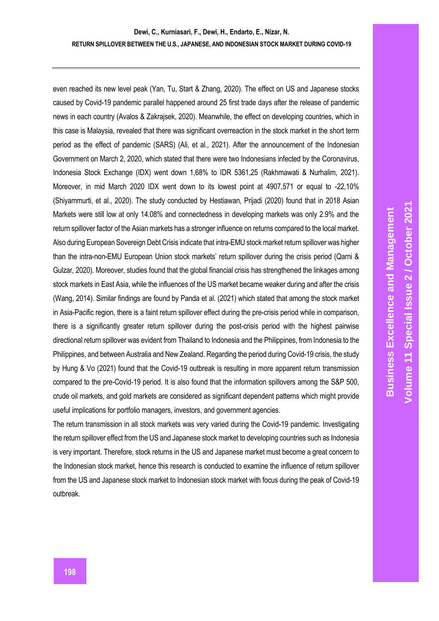even reached its new level peak (Yan, Tu, Start & Zhang, 2020). The effect on US and Japanese stocks caused by Covid-19 pandemic parallel happened around 25 first trade days after the release of pandemic news in each country (Avalos & Zakrajsek, 2020). Meanwhile, the effect on developing countries, which in this case is Malaysia, revealed that there was significant overreaction in the stock market in the short term period as the effect of pandemic (SARS) (Ali, et al., 2021). After the announcement of the Indonesian Government on March 2, 2020, which stated that there were two Indonesians infected by the Coronavirus, Indonesia Stock Exchange (IDX) went down 1,68% to IDR 5361,25 (Rakhmawati & Nurhalim, 2021). Moreover, in mid March 2020 IDX went down to its lowest point at 4907,571 or equal to -22,10% (Shiyammurti, et al., 2020). The study conducted by Hestiawan, Prijadi (2020) found that in 2018 Asian Markets were still low at only 14.08% and connectedness in developing markets was only 2.9% and the return spillover factor of the Asian markets has a stronger influence on returns compared to the local market. Also during European Sovereign Debt Crisis indicate that intra-EMU stock market return spillover was higher than the intra-non-EMU European Union stock markets' return spillover during the crisis period (Qarni & Gulzar, 2020). Moreover, studies found that the global financial crisis has strengthened the linkages among stock markets in East Asia, while the influences of the US market became weaker during and after the crisis (Wang, 2014). Similar findings are found by Panda et al. (2021) which stated that among the stock market in Asia-Pacific region, there is a faint return spillover effect during the pre-crisis period while in comparison, there is a significantly greater return spillover during the post-crisis period with the highest pairwise directional return spillover was evident from Thailand to Indonesia and the Philippines, from Indonesia to the Philippines, and between Australia and New Zealand. Regarding the period during Covid-19 crisis, the study by Hung & Vo (2021) found that the Covid-19 outbreak is resulting in more apparent return transmission compared to the pre-Covid-19 period. It is also found that the information spillovers among the S&P 500, crude oil markets, and gold markets are considered as significant dependent patterns which might provide useful implications for portfolio managers, investors, and government agencies.

The return transmission in all stock markets was very varied during the Covid-19 pandemic. Investigating the return spillover effect from the US and Japanese stock market to developing countries such as Indonesia is very important. Therefore, stock returns in the US and Japanese market must become a great concern to the Indonesian stock market, hence this research is conducted to examine the influence of return spillover from the US and Japanese stock market to Indonesian stock market with focus during the peak of Covid-19 outbreak.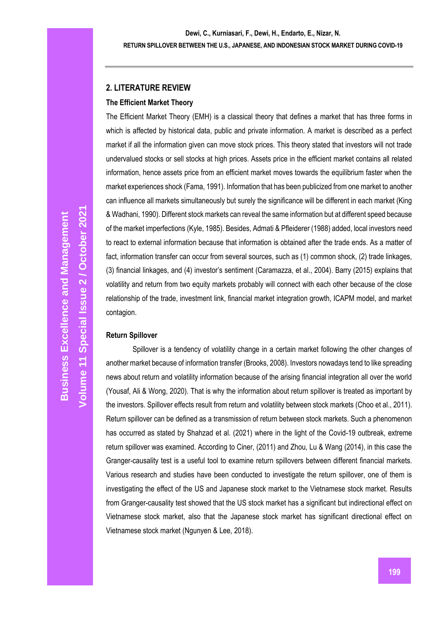### **2. LITERATURE REVIEW**

### **The Efficient Market Theory**

The Efficient Market Theory (EMH) is a classical theory that defines a market that has three forms in which is affected by historical data, public and private information. A market is described as a perfect market if all the information given can move stock prices. This theory stated that investors will not trade undervalued stocks or sell stocks at high prices. Assets price in the efficient market contains all related information, hence assets price from an efficient market moves towards the equilibrium faster when the market experiences shock (Fama, 1991). Information that has been publicized from one market to another can influence all markets simultaneously but surely the significance will be different in each market (King & Wadhani, 1990). Different stock markets can reveal the same information but at different speed because of the market imperfections (Kyle, 1985). Besides, Admati & Pfleiderer (1988) added, local investors need to react to external information because that information is obtained after the trade ends. As a matter of fact, information transfer can occur from several sources, such as (1) common shock, (2) trade linkages, (3) financial linkages, and (4) investor's sentiment (Caramazza, et al., 2004). Barry (2015) explains that volatility and return from two equity markets probably will connect with each other because of the close relationship of the trade, investment link, financial market integration growth, ICAPM model, and market contagion.

### **Return Spillover**

Spillover is a tendency of volatility change in a certain market following the other changes of another market because of information transfer (Brooks, 2008). Investors nowadays tend to like spreading news about return and volatility information because of the arising financial integration all over the world (Yousaf, Ali & Wong, 2020). That is why the information about return spillover is treated as important by the investors. Spillover effects result from return and volatility between stock markets (Choo et al., 2011). Return spillover can be defined as a transmission of return between stock markets. Such a phenomenon has occurred as stated by Shahzad et al. (2021) where in the light of the Covid-19 outbreak, extreme return spillover was examined. According to Ciner, (2011) and Zhou, Lu & Wang (2014), in this case the Granger-causality test is a useful tool to examine return spillovers between different financial markets. Various research and studies have been conducted to investigate the return spillover, one of them is investigating the effect of the US and Japanese stock market to the Vietnamese stock market. Results from Granger-causality test showed that the US stock market has a significant but indirectional effect on Vietnamese stock market, also that the Japanese stock market has significant directional effect on Vietnamese stock market (Ngunyen & Lee, 2018).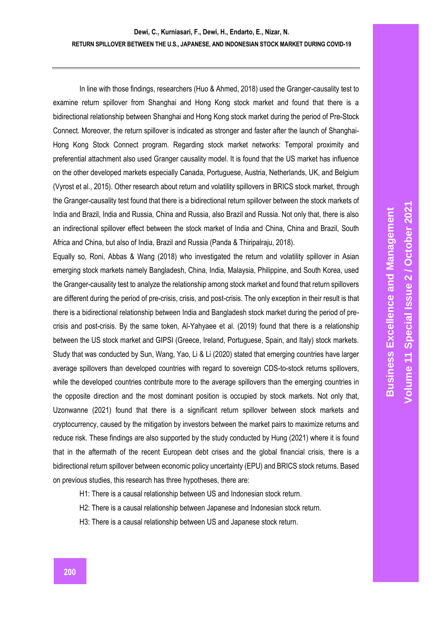In line with those findings, researchers (Huo & Ahmed, 2018) used the Granger-causality test to examine return spillover from Shanghai and Hong Kong stock market and found that there is a bidirectional relationship between Shanghai and Hong Kong stock market during the period of Pre-Stock Connect. Moreover, the return spillover is indicated as stronger and faster after the launch of Shanghai-Hong Kong Stock Connect program. Regarding stock market networks: Temporal proximity and preferential attachment also used Granger causality model. It is found that the US market has influence on the other developed markets especially Canada, Portuguese, Austria, Netherlands, UK, and Belgium (Vyrost et al., 2015). Other research about return and volatility spillovers in BRICS stock market, through the Granger-causality test found that there is a bidirectional return spillover between the stock markets of India and Brazil, India and Russia, China and Russia, also Brazil and Russia. Not only that, there is also an indirectional spillover effect between the stock market of India and China, China and Brazil, South Africa and China, but also of India, Brazil and Russia (Panda & Thiripalraju, 2018).

Equally so, Roni, Abbas & Wang (2018) who investigated the return and volatility spillover in Asian emerging stock markets namely Bangladesh, China, India, Malaysia, Philippine, and South Korea, used the Granger-causality test to analyze the relationship among stock market and found that return spillovers are different during the period of pre-crisis, crisis, and post-crisis. The only exception in their result is that there is a bidirectional relationship between India and Bangladesh stock market during the period of precrisis and post-crisis. By the same token, Al-Yahyaee et al. (2019) found that there is a relationship between the US stock market and GIPSI (Greece, Ireland, Portuguese, Spain, and Italy) stock markets. Study that was conducted by Sun, Wang, Yao, Li & Li (2020) stated that emerging countries have larger average spillovers than developed countries with regard to sovereign CDS-to-stock returns spillovers, while the developed countries contribute more to the average spillovers than the emerging countries in the opposite direction and the most dominant position is occupied by stock markets. Not only that, Uzonwanne (2021) found that there is a significant return spillover between stock markets and cryptocurrency, caused by the mitigation by investors between the market pairs to maximize returns and reduce risk. These findings are also supported by the study conducted by Hung (2021) where it is found that in the aftermath of the recent European debt crises and the global financial crisis, there is a bidirectional return spillover between economic policy uncertainty (EPU) and BRICS stock returns. Based on previous studies, this research has three hypotheses, there are:

- H1: There is a causal relationship between US and Indonesian stock return.
- H2: There is a causal relationship between Japanese and Indonesian stock return.
- H3: There is a causal relationship between US and Japanese stock return.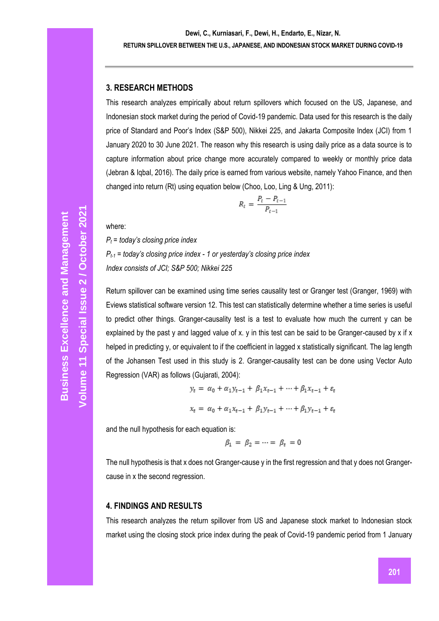### **3. RESEARCH METHODS**

This research analyzes empirically about return spillovers which focused on the US, Japanese, and Indonesian stock market during the period of Covid-19 pandemic. Data used for this research is the daily price of Standard and Poor's Index (S&P 500), Nikkei 225, and Jakarta Composite Index (JCI) from 1 January 2020 to 30 June 2021. The reason why this research is using daily price as a data source is to capture information about price change more accurately compared to weekly or monthly price data (Jebran & Iqbal, 2016). The daily price is earned from various website, namely Yahoo Finance, and then changed into return (Rt) using equation below (Choo, Loo, Ling & Ung, 2011):

$$
R_t = \frac{P_t - P_{t-1}}{P_{t-1}}
$$

where:

*P<sup>t</sup> = today's closing price index Pt-1 = today's closing price index - 1 or yesterday's closing price index Index consists of JCI; S&P 500; Nikkei 225*

Return spillover can be examined using time series causality test or Granger test (Granger, 1969) with Eviews statistical software version 12. This test can statistically determine whether a time series is useful to predict other things. Granger-causality test is a test to evaluate how much the current y can be explained by the past y and lagged value of x. y in this test can be said to be Granger-caused by x if x helped in predicting y, or equivalent to if the coefficient in lagged x statistically significant. The lag length of the Johansen Test used in this study is 2. Granger-causality test can be done using Vector Auto Regression (VAR) as follows (Gujarati, 2004):

$$
y_{t} = \alpha_{0} + \alpha_{1}y_{t-1} + \beta_{1}x_{t-1} + \dots + \beta_{1}x_{t-1} + \varepsilon_{t}
$$

$$
x_{t} = \alpha_{0} + \alpha_{1}x_{t-1} + \beta_{1}y_{t-1} + \dots + \beta_{1}y_{t-1} + \varepsilon_{t}
$$

and the null hypothesis for each equation is:

$$
\beta_1 = \beta_2 = \cdots = \beta_t = 0
$$

The null hypothesis is that x does not Granger-cause y in the first regression and that y does not Grangercause in x the second regression.

### **4. FINDINGS AND RESULTS**

This research analyzes the return spillover from US and Japanese stock market to Indonesian stock market using the closing stock price index during the peak of Covid-19 pandemic period from 1 January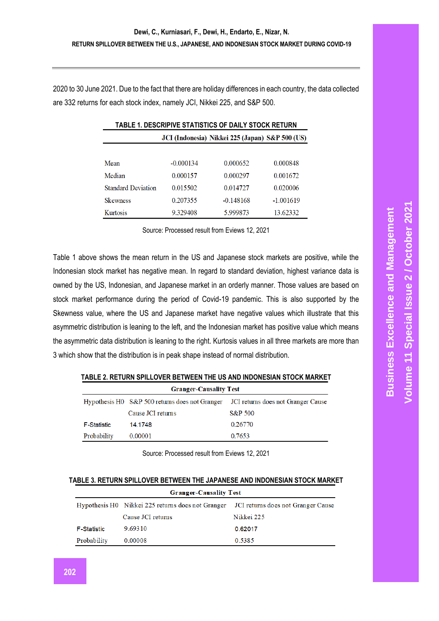2020 to 30 June 2021. Due to the fact that there are holiday differences in each country, the data collected are 332 returns for each stock index, namely JCI, Nikkei 225, and S&P 500.

| TABLE 1. DESCRIPIVE STATISTICS OF DAILY STOCK RETURN |             |                                                 |             |  |
|------------------------------------------------------|-------------|-------------------------------------------------|-------------|--|
|                                                      |             | JCI (Indonesia) Nikkei 225 (Japan) S&P 500 (US) |             |  |
|                                                      |             |                                                 |             |  |
| Mean                                                 | $-0.000134$ | 0.000652                                        | 0.000848    |  |
| Median                                               | 0.000157    | 0.000297                                        | 0.001672    |  |
| <b>Standard Deviation</b>                            | 0.015502    | 0.014727                                        | 0.020006    |  |
| <b>Skewness</b>                                      | 0.207355    | $-0.148168$                                     | $-1.001619$ |  |
| Kurtosis                                             | 9.329408    | 5.999873                                        | 13.62332    |  |

Source: Processed result from Eviews 12, 2021

Table 1 above shows the mean return in the US and Japanese stock markets are positive, while the Indonesian stock market has negative mean. In regard to standard deviation, highest variance data is owned by the US, Indonesian, and Japanese market in an orderly manner. Those values are based on stock market performance during the period of Covid-19 pandemic. This is also supported by the Skewness value, where the US and Japanese market have negative values which illustrate that this asymmetric distribution is leaning to the left, and the Indonesian market has positive value which means the asymmetric data distribution is leaning to the right. Kurtosis values in all three markets are more than 3 which show that the distribution is in peak shape instead of normal distribution.

| <b>Granger-Causality Test</b> |                   |                                                                                   |  |  |
|-------------------------------|-------------------|-----------------------------------------------------------------------------------|--|--|
|                               |                   | Hypothesis H0 S&P 500 returns does not Granger JCI returns does not Granger Cause |  |  |
|                               | Cause JCI returns | S&P 500                                                                           |  |  |
| <b>F-Statistic</b>            | 14.1748           | 0.26770                                                                           |  |  |
| Probability                   | 0.00001           | 0.7653                                                                            |  |  |

**TABLE 2. RETURN SPILLOVER BETWEEN THE US AND INDONESIAN STOCK MARKET**

Source: Processed result from Eviews 12, 2021

#### **TABLE 3. RETURN SPILLOVER BETWEEN THE JAPANESE AND INDONESIAN STOCK MARKET**

| <b>Granger-Causality Test</b> |                                                                                      |            |  |  |
|-------------------------------|--------------------------------------------------------------------------------------|------------|--|--|
|                               | Hypothesis H0 Nikkei 225 returns does not Granger JCI returns does not Granger Cause |            |  |  |
|                               | Cause JCI returns                                                                    | Nikkei 225 |  |  |
| <b>F-Statistic</b>            | 9.69310                                                                              | 0.62017    |  |  |
| Probability                   | 0.00008                                                                              | 0.5385     |  |  |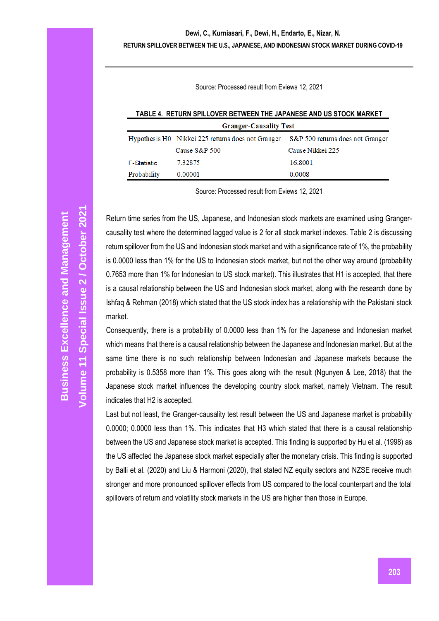#### **Dewi, C., Kurniasari, F., Dewi, H., Endarto, E., Nizar, N.**

#### **RETURN SPILLOVER BETWEEN THE U.S., JAPANESE, AND INDONESIAN STOCK MARKET DURING COVID-19**

Source: Processed result from Eviews 12, 2021

**TABLE 4. RETURN SPILLOVER BETWEEN THE JAPANESE AND US STOCK MARKET**

| <b>Granger-Causality Test</b> |                                                   |                                  |  |  |
|-------------------------------|---------------------------------------------------|----------------------------------|--|--|
|                               | Hypothesis H0 Nikkei 225 returns does not Granger | S&P 500 returns does not Granger |  |  |
|                               | Cause $S\&P 500$                                  | Cause Nikkei 225                 |  |  |
| <b>F-Statistic</b>            | 7.32875                                           | 16.8001                          |  |  |
| Probability                   | 0.00001                                           | 0.0008                           |  |  |

Source: Processed result from Eviews 12, 2021

Return time series from the US, Japanese, and Indonesian stock markets are examined using Grangercausality test where the determined lagged value is 2 for all stock market indexes. Table 2 is discussing return spillover from the US and Indonesian stock market and with a significance rate of 1%, the probability is 0.0000 less than 1% for the US to Indonesian stock market, but not the other way around (probability 0.7653 more than 1% for Indonesian to US stock market). This illustrates that H1 is accepted, that there is a causal relationship between the US and Indonesian stock market, along with the research done by Ishfaq & Rehman (2018) which stated that the US stock index has a relationship with the Pakistani stock market.

Consequently, there is a probability of 0.0000 less than 1% for the Japanese and Indonesian market which means that there is a causal relationship between the Japanese and Indonesian market. But at the same time there is no such relationship between Indonesian and Japanese markets because the probability is 0.5358 more than 1%. This goes along with the result (Ngunyen & Lee, 2018) that the Japanese stock market influences the developing country stock market, namely Vietnam. The result indicates that H2 is accepted.

Last but not least, the Granger-causality test result between the US and Japanese market is probability 0.0000; 0.0000 less than 1%. This indicates that H3 which stated that there is a causal relationship between the US and Japanese stock market is accepted. This finding is supported by Hu et al. (1998) as the US affected the Japanese stock market especially after the monetary crisis. This finding is supported by Balli et al. (2020) and Liu & Harmoni (2020), that stated NZ equity sectors and NZSE receive much stronger and more pronounced spillover effects from US compared to the local counterpart and the total spillovers of return and volatility stock markets in the US are higher than those in Europe.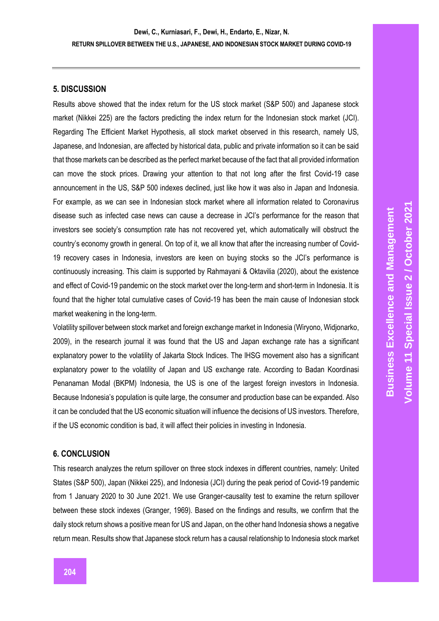#### **5. DISCUSSION**

Results above showed that the index return for the US stock market (S&P 500) and Japanese stock market (Nikkei 225) are the factors predicting the index return for the Indonesian stock market (JCI). Regarding The Efficient Market Hypothesis, all stock market observed in this research, namely US, Japanese, and Indonesian, are affected by historical data, public and private information so it can be said that those markets can be described as the perfect market because of the fact that all provided information can move the stock prices. Drawing your attention to that not long after the first Covid-19 case announcement in the US, S&P 500 indexes declined, just like how it was also in Japan and Indonesia. For example, as we can see in Indonesian stock market where all information related to Coronavirus disease such as infected case news can cause a decrease in JCI's performance for the reason that investors see society's consumption rate has not recovered yet, which automatically will obstruct the country's economy growth in general. On top of it, we all know that after the increasing number of Covid-19 recovery cases in Indonesia, investors are keen on buying stocks so the JCI's performance is continuously increasing. This claim is supported by Rahmayani & Oktavilia (2020), about the existence and effect of Covid-19 pandemic on the stock market over the long-term and short-term in Indonesia. It is found that the higher total cumulative cases of Covid-19 has been the main cause of Indonesian stock market weakening in the long-term.

Volatility spillover between stock market and foreign exchange market in Indonesia (Wiryono, Widjonarko, 2009), in the research journal it was found that the US and Japan exchange rate has a significant explanatory power to the volatility of Jakarta Stock Indices. The lHSG movement also has a significant explanatory power to the volatility of Japan and US exchange rate. According to Badan Koordinasi Penanaman Modal (BKPM) Indonesia, the US is one of the largest foreign investors in Indonesia. Because Indonesia's population is quite large, the consumer and production base can be expanded. Also it can be concluded that the US economic situation will influence the decisions of US investors. Therefore, if the US economic condition is bad, it will affect their policies in investing in Indonesia.

#### **6. CONCLUSION**

This research analyzes the return spillover on three stock indexes in different countries, namely: United States (S&P 500), Japan (Nikkei 225), and Indonesia (JCI) during the peak period of Covid-19 pandemic from 1 January 2020 to 30 June 2021. We use Granger-causality test to examine the return spillover between these stock indexes (Granger, 1969). Based on the findings and results, we confirm that the daily stock return shows a positive mean for US and Japan, on the other hand Indonesia shows a negative return mean. Results show that Japanese stock return has a causal relationship to Indonesia stock market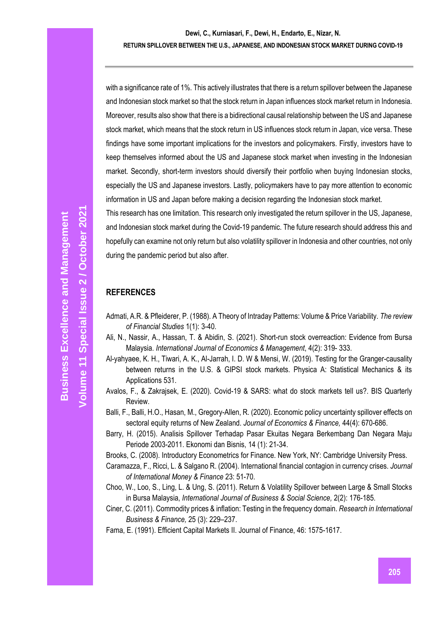with a significance rate of 1%. This actively illustrates that there is a return spillover between the Japanese and Indonesian stock market so that the stock return in Japan influences stock market return in Indonesia. Moreover, results also show that there is a bidirectional causal relationship between the US and Japanese stock market, which means that the stock return in US influences stock return in Japan, vice versa. These findings have some important implications for the investors and policymakers. Firstly, investors have to keep themselves informed about the US and Japanese stock market when investing in the Indonesian market. Secondly, short-term investors should diversify their portfolio when buying Indonesian stocks, especially the US and Japanese investors. Lastly, policymakers have to pay more attention to economic information in US and Japan before making a decision regarding the Indonesian stock market.

This research has one limitation. This research only investigated the return spillover in the US, Japanese, and Indonesian stock market during the Covid-19 pandemic. The future research should address this and hopefully can examine not only return but also volatility spillover in Indonesia and other countries, not only during the pandemic period but also after.

### **REFERENCES**

- Admati, A.R. & Pfleiderer, P. (1988). A Theory of Intraday Patterns: Volume & Price Variability. *The review of Financial Studies* 1(1): 3-40.
- Ali, N., Nassir, A., Hassan, T. & Abidin, S. (2021). Short-run stock overreaction: Evidence from Bursa Malaysia. *International Journal of Economics & Management*, 4(2): 319- 333.
- Al-yahyaee, K. H., Tiwari, A. K., Al-Jarrah, I. D. W & Mensi, W. (2019). Testing for the Granger-causality between returns in the U.S. & GIPSI stock markets. Physica A: Statistical Mechanics & its Applications 531.
- Avalos, F., & Zakrajsek, E. (2020). Covid-19 & SARS: what do stock markets tell us?. BIS Quarterly Review.
- [Balli, F.,](https://www.scopus.com/authid/detail.uri?origin=resultslist&authorId=35178972500&zone=) [Balli, H.O.,](https://www.scopus.com/authid/detail.uri?origin=resultslist&authorId=36715832200&zone=) [Hasan, M.,](https://www.scopus.com/authid/detail.uri?origin=resultslist&authorId=57202079796&zone=) [Gregory-Allen, R.](https://www.scopus.com/authid/detail.uri?origin=resultslist&authorId=25122259900&zone=) (2020)[. Economic policy uncertainty spillover effects on](https://www.scopus.com/record/display.uri?eid=2-s2.0-85083778046&origin=resultslist&sort=plf-f&src=s&nlo=&nlr=&nls=&sid=40ce939cb118baab084662ad73997239&sot=b&sdt=cl&cluster=scopubyr%2c%222020%22%2ct&sl=33&s=TITLE-ABS-KEY%28%22return+spillover%22%29&ref=%28spillover%29&relpos=8&citeCnt=2&searchTerm=)  [sectoral equity returns of New Zeala](https://www.scopus.com/record/display.uri?eid=2-s2.0-85083778046&origin=resultslist&sort=plf-f&src=s&nlo=&nlr=&nls=&sid=40ce939cb118baab084662ad73997239&sot=b&sdt=cl&cluster=scopubyr%2c%222020%22%2ct&sl=33&s=TITLE-ABS-KEY%28%22return+spillover%22%29&ref=%28spillover%29&relpos=8&citeCnt=2&searchTerm=)nd. *[Journal of Economics & Finance,](https://www.scopus.com/sourceid/12100157208?origin=resultslist)* 44(4): 670-686.
- Barry, H. (2015). Analisis Spillover Terhadap Pasar Ekuitas Negara Berkembang Dan Negara Maju Periode 2003-2011. Ekonomi dan Bisnis, 14 (1): 21-34.
- Brooks, C. (2008). Introductory Econometrics for Finance. New York, NY: Cambridge University Press.
- Caramazza, F., Ricci, L. & Salgano R. (2004). International financial contagion in currency crises. *Journal of International Money & Finance* 23: 51-70.
- Choo, W., Loo, S., Ling, L. & Ung, S. (2011). Return & Volatility Spillover between Large & Small Stocks in Bursa Malaysia, *International Journal of Business & Social Science,* 2(2): 176-185.
- Ciner, C. (2011). Commodity prices & inflation: Testing in the frequency domain. *Research in International Business & Finance,* 25 (3): 229–237.
- Fama, E. (1991). Efficient Capital Markets II. Journal of Finance, 46: 1575-1617.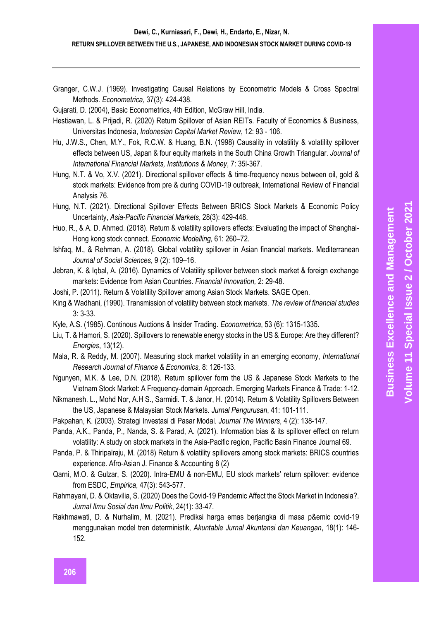Granger, C.W.J. (1969). Investigating Causal Relations by Econometric Models & Cross Spectral Methods. *Econometrica,* 37(3): 424-438.

Gujarati, D. (2004), Basic Econometrics, 4th Edition, McGraw Hill, India.

- Hestiawan, L. & Prijadi, R. (2020) Return Spillover of Asian REITs. Faculty of Economics & Business, Universitas Indonesia, *Indonesian Capital Market Review*, 12: 93 - 106.
- Hu, J.W.S., Chen, M.Y., Fok, R.C.W. & Huang, B.N. (1998) Causality in volatility & volatility spillover effects between US, Japan & four equity markets in the South China Growth Triangular. *Journal of International Financial Markets, Institutions & Money*, 7: 35l-367.
- Hung, N.T. & Vo, X.V. (2021). Directional spillover effects & time-frequency nexus between oil, gold & stock markets: Evidence from pre & during COVID-19 outbreak, International Review of Financial Analysis 76.
- [Hung, N.T.](https://www.scopus.com/authid/detail.uri?origin=resultslist&authorId=57205271833&zone=) (2021). [Directional Spillover Effects Between BRICS Stock Markets & Economic Policy](https://www.scopus.com/record/display.uri?eid=2-s2.0-85096615635&origin=resultslist&sort=plf-f&src=s&nlo=&nlr=&nls=&sid=5ecdc6ebec2fa272e3667c038d505fd4&sot=b&sdt=sisr&sl=33&s=TITLE-ABS-KEY%28%22return+spillover%22%29&ref=%28spillover%29&relpos=20&citeCnt=1&searchTerm=)  [Uncertainty,](https://www.scopus.com/record/display.uri?eid=2-s2.0-85096615635&origin=resultslist&sort=plf-f&src=s&nlo=&nlr=&nls=&sid=5ecdc6ebec2fa272e3667c038d505fd4&sot=b&sdt=sisr&sl=33&s=TITLE-ABS-KEY%28%22return+spillover%22%29&ref=%28spillover%29&relpos=20&citeCnt=1&searchTerm=) *[Asia-Pacific Financial Markets](https://www.scopus.com/sourceid/144968?origin=resultslist)*, 28(3): 429-448.
- Huo, R., & A. D. Ahmed. (2018). Return & volatility spillovers effects: Evaluating the impact of Shanghai-Hong kong stock connect. *Economic Modelling,* 61: 260–72.
- Ishfaq, M., & Rehman, A. (2018). Global volatility spillover in Asian financial markets. Mediterranean *Journal of Social Sciences*, 9 (2): 109–16.
- Jebran, K. & Iqbal, A. (2016). Dynamics of Volatility spillover between stock market & foreign exchange markets: Evidence from Asian Countries. *Financial Innovation,* 2: 29-48.
- Joshi, P. (2011). Return & Volatility Spillover among Asian Stock Markets. SAGE Open.
- King & Wadhani, (1990). Transmission of volatility between stock markets. *The review of financial studies* 3: 3-33.
- Kyle, A.S. (1985). Continous Auctions & Insider Trading. *Econometrica*, 53 (6): 1315-1335.
- [Liu, T.](https://www.scopus.com/authid/detail.uri?origin=resultslist&authorId=57216489028&zone=) & [Hamori, S.](https://www.scopus.com/authid/detail.uri?origin=resultslist&authorId=6701462115&zone=) (2020). [Spillovers to renewable energy stocks in the US & Europe: Are they different?](https://www.scopus.com/record/display.uri?eid=2-s2.0-85087997150&origin=resultslist&sort=plf-f&src=s&nlo=&nlr=&nls=&sid=40ce939cb118baab084662ad73997239&sot=b&sdt=cl&cluster=scopubyr%2c%222020%22%2ct&sl=33&s=TITLE-ABS-KEY%28%22return+spillover%22%29&ref=%28spillover%29&relpos=14&citeCnt=7&searchTerm=) *[Energies](https://www.scopus.com/sourceid/62932?origin=resultslist)*, 13(12).
- Mala, R. & Reddy, M. (2007). Measuring stock market volatility in an emerging economy, *International Research Journal of Finance & Economics,* 8: 126-133.
- Ngunyen, M.K. & Lee, D.N. (2018). Return spillover form the US & Japanese Stock Markets to the Vietnam Stock Market: A Frequency-domain Approach. Emerging Markets Finance & Trade: 1-12.
- Nikmanesh. L., Mohd Nor, A.H S., Sarmidi. T. & Janor, H. (2014). Return & Volatility Spillovers Between the US, Japanese & Malaysian Stock Markets. *Jurnal Pengurusan*, 41: 101-111.
- Pakpahan, K. (2003). Strategi Investasi di Pasar Modal. *Journal The Winners*, 4 (2): 138-147.
- [Panda, A.K.,](https://www.scopus.com/authid/detail.uri?origin=resultslist&authorId=55998954300&zone=) [Panda, P.,](https://www.scopus.com/authid/detail.uri?origin=resultslist&authorId=57201654325&zone=) [Nanda, S.](https://www.scopus.com/authid/detail.uri?origin=resultslist&authorId=57194280403&zone=) & [Parad, A.](https://www.scopus.com/authid/detail.uri?origin=resultslist&authorId=57257317000&zone=) (2021). [Information bias & its spillover effect on return](https://www.scopus.com/record/display.uri?eid=2-s2.0-85114762012&origin=resultslist&sort=plf-f&src=s&nlo=&nlr=&nls=&sid=5ecdc6ebec2fa272e3667c038d505fd4&sot=b&sdt=sisr&sl=33&s=TITLE-ABS-KEY%28%22return+spillover%22%29&ref=%28spillover%29&relpos=11&citeCnt=0&searchTerm=)  [volatility: A study on stock markets in the Asia-Pacific region,](https://www.scopus.com/record/display.uri?eid=2-s2.0-85114762012&origin=resultslist&sort=plf-f&src=s&nlo=&nlr=&nls=&sid=5ecdc6ebec2fa272e3667c038d505fd4&sot=b&sdt=sisr&sl=33&s=TITLE-ABS-KEY%28%22return+spillover%22%29&ref=%28spillover%29&relpos=11&citeCnt=0&searchTerm=) [Pacific Basin Finance Journal](https://www.scopus.com/sourceid/15465?origin=resultslist) 69.
- Panda, P. & Thiripalraju, M. (2018) Return & volatility spillovers among stock markets: BRICS countries experience. Afro-Asian J. Finance & Accounting 8 (2)
- [Qarni, M.O.](https://www.scopus.com/authid/detail.uri?origin=resultslist&authorId=57207827215&zone=) & [Gulzar, S.](https://www.scopus.com/authid/detail.uri?origin=resultslist&authorId=22034355700&zone=) (2020). Intra-EMU & non-EMU, EU stoc[k markets' return spillover: evidence](https://www.scopus.com/record/display.uri?eid=2-s2.0-85062936787&origin=resultslist&sort=plf-f&src=s&nlo=&nlr=&nls=&sid=40ce939cb118baab084662ad73997239&sot=b&sdt=cl&cluster=scopubyr%2c%222020%22%2ct&sl=33&s=TITLE-ABS-KEY%28%22return+spillover%22%29&ref=%28spillover%29&relpos=13&citeCnt=1&searchTerm=)  [from ESDC,](https://www.scopus.com/record/display.uri?eid=2-s2.0-85062936787&origin=resultslist&sort=plf-f&src=s&nlo=&nlr=&nls=&sid=40ce939cb118baab084662ad73997239&sot=b&sdt=cl&cluster=scopubyr%2c%222020%22%2ct&sl=33&s=TITLE-ABS-KEY%28%22return+spillover%22%29&ref=%28spillover%29&relpos=13&citeCnt=1&searchTerm=) *[Empirica](https://www.scopus.com/sourceid/24965?origin=resultslist)*, 47(3): 543-577.
- Rahmayani, D. & Oktavilia, S. (2020) Does the Covid-19 Pandemic Affect the Stock Market in Indonesia?. *Jurnal Ilmu Sosial dan Ilmu Politik*, 24(1): 33-47.
- Rakhmawati, D. & Nurhalim, M. (2021). Prediksi harga emas berjangka di masa p&emic covid-19 menggunakan model tren deterministik, *Akuntable Jurnal Akuntansi dan Keuangan*, 18(1): 146- 152.